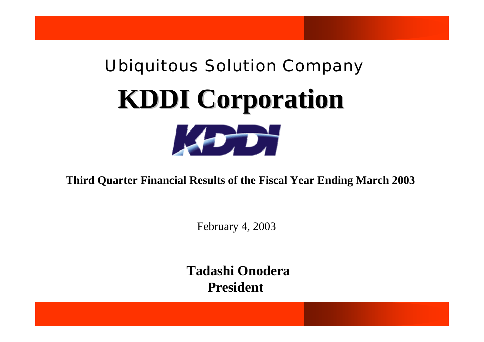# Ubiquitous Solution Company **KDDI Corporation KDDI Corporation**  $\mathbf{1}$

**Third Quarter Financial Results of the Fiscal Year Ending March 2003**

February 4, 2003

**Tadashi OnoderaPresident**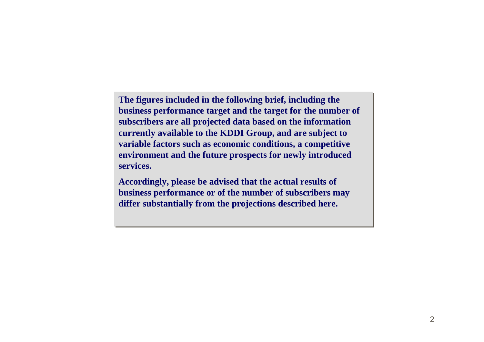**The figures included in the following brief, including the The figures included in the following brief, including the business performance target and the target for the number of business performance target and the target for the number of subscribers are all projected data based on the information subscribers are all projected data based on the information currently available to the KDDI Group, and are subject to currently available to the KDDI Group, and are subject to variable factors such as economic conditions, a competitive variable factors such as economic conditions, a competitive environment and the future prospects for newly introduced environment and the future prospects for newly introduced services.services.**

**Accordingly, please be advised that the actual results of Accordingly, please be advised that the actual results of business performance or of the number of subscribers may business performance or of the number of subscribers may differ substantially from the projections described here. differ substantially from the projections described here.**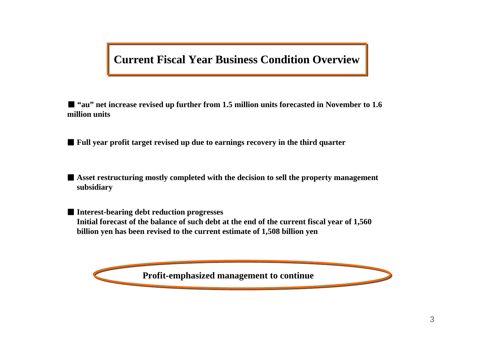## **Current Fiscal Year Business Condition Overview**

■ **"au" net increase revised up further from 1.5 million units forecasted in November to 1.6 million units**

■ **Full year profit target revised up due to earnings recovery in the third quarter**

■ **Asset restructuring mostly completed with the decision to sell the property management subsidiary**

■ **Interest-bearing debt reduction progresses Initial forecast of the balance of such debt at the end of the current fiscal year of 1,560 billion yen has been revised to the current estimate of 1,508 billion yen**

**Profit-emphasized management to continue**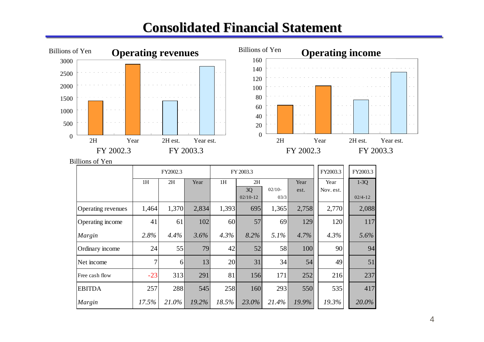## **Consolidated Financial Statement Consolidated Financial Statement**



257 288 545 258 160 293 550 535 417

*Margin 17.5% 21.0% 19.2% 18.5% 23.0% 21.4% 19.9% 19.3% 20.0%*

EBITDA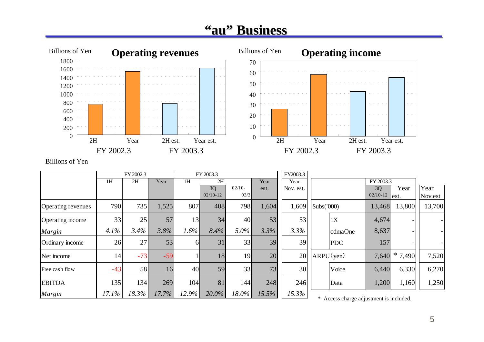## **"au" Business Business**



Billions of Yen

|                    |       | FY 2002.3        |       |          | FY 2003.3  |          |       | FY2003.3  |              |                                         |            |           |         |
|--------------------|-------|------------------|-------|----------|------------|----------|-------|-----------|--------------|-----------------------------------------|------------|-----------|---------|
|                    | 1H    | 2H               | Year  | 1H       | 2H         |          | Year  | Year      |              |                                         | FY 2003.3  |           |         |
|                    |       |                  |       |          | 3Q         | $02/10-$ | est.  | Nov. est. |              |                                         | 3Q         | Year      | Year    |
|                    |       |                  |       |          | $02/10-12$ | 03/3     |       |           |              |                                         | $02/10-12$ | est.      | Nov.est |
| Operating revenues | 790   | 735 <sup> </sup> | 1,525 | 807      | 408        | 798      | 1,604 | 1,609     | Subs('000)   |                                         | 13,468     | 13,800    | 13,700  |
| Operating income   | 33    | 25               | 57    | 13       | 34         | 40       | 53    | 53        |              | 1X                                      | 4,674      |           |         |
| Margin             | 4.1%  | 3.4%             | 3.8%  | 1.6%     | 8.4%       | $5.0\%$  | 3.3%  | 3.3%      |              | cdmaOne                                 | 8,637      |           |         |
| Ordinary income    | 26    | 27               | 53    | 61       | 31         | 33       | 39    | 39        |              | <b>PDC</b>                              | 157        |           |         |
| Net income         | 14    | $-73$            | $-59$ |          | 18         | 19       | 20    | 20        | $ARPU$ (yen) |                                         | 7,640      | $* 7,490$ | 7,520   |
| Free cash flow     | $-43$ | 58               | 16    | 40       | 59         | 33       | 73    | 30        |              | Voice                                   | 6,440      | 6,330     | 6,270   |
| <b>EBITDA</b>      | 135   | 134              | 269   | 104      | 81         | 144      | 248   | 246       |              | Data                                    | 1,200      | 1,160     | 1,250   |
| Margin             | 17.1% | $18.3\%$         | 17.7% | $12.9\%$ | $20.0\%$   | 18.0%    | 15.5% | 15.3%     |              | * Access charge adjustment is included. |            |           |         |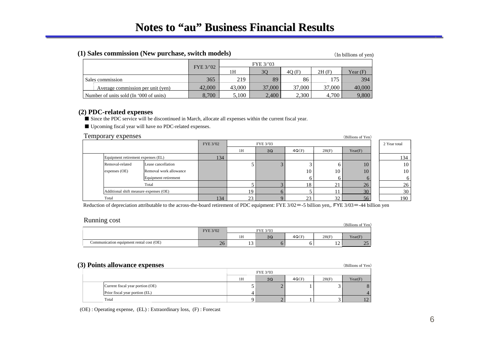#### **(1) Sales commission (New purchase, switch models)** (In billions of yen)

|                                         |           |        | FYE 3/'03 |        |        |            |  |  |
|-----------------------------------------|-----------|--------|-----------|--------|--------|------------|--|--|
|                                         | FYE 3/'02 | 1H     | 30        | 40(F)  | 2H(F)  | Year $(F)$ |  |  |
| Sales commission                        | 365       | 219    | 89        | 86     | l 75   | 394        |  |  |
| Average commission per unit (yen)       | 42,000    | 43,000 | 37,000    | 37,000 | 37,000 | 40,000     |  |  |
| Number of units sold (In '000 of units) | 8.700     | 5,100  | 2,400     | 2,300  | 4.700  | 9,800      |  |  |

#### **(2) PDC-related expenses**

■ Since the PDC service will be discontinued in March, allocate all expenses within the current fiscal year.

■ Upcoming fiscal year will have no PDC-related expenses.

#### Temporary expenses (Billions of Yen)

| ----- <i>---</i> -<br>----------<br>$\mu$ ninomo or $\mu$ |                        |           |    |           |       |              |         |  |              |
|-----------------------------------------------------------|------------------------|-----------|----|-----------|-------|--------------|---------|--|--------------|
|                                                           |                        | FYE 3/'02 |    | FYE 3/'03 |       |              |         |  | 2 Year total |
|                                                           |                        |           | 1H | 3Q        | 4Q(F) | 2H(F)        | Year(F) |  |              |
| Equipment retirement expenses (EL)                        |                        | 134       |    |           |       |              |         |  | 134          |
| Removal-related                                           | Lease cancellation     |           |    |           |       | 6            | 10      |  | 10           |
| expenses (OE)                                             | Removal work allowance |           |    |           | 10    | 10           | 10      |  | 10           |
|                                                           | Equipment retirement   |           |    |           |       | <sub>0</sub> |         |  |              |
|                                                           | Total                  |           |    |           | 18    | 21           | 26      |  | 26           |
| Additional shift measure expenses (OE)                    |                        |           | 19 |           |       | 11           | 30      |  | 30           |
| Total                                                     |                        |           | 23 |           | 23    | 32           | 56      |  | 190          |

Reduction of depreciation attributable to the across-the-board retirement of PDC equipment: FYE 3/02 = -5 billion yen,. FYE 3/03 = -44 billion yen

| Running cost                             |           |    |          |       |                | (Billions of Yen)        |
|------------------------------------------|-----------|----|----------|-------|----------------|--------------------------|
|                                          | FYE 3/'02 |    | FYE 3/03 |       |                |                          |
|                                          |           | 1H | 3Q       | 4Q(F) | 2H(F)          | Year(F)                  |
| Communication equipment rental cost (OE) | 26        |    |          |       | $\overline{ }$ | $\Delta$ $\epsilon$<br>ت |

#### **(3) Points allowance expenses** (Billions of Yen)

| $\epsilon$ ) I only and wance expenses<br>$\mu$ and $\mu$ or $\mu$ on $\mu$ |    |          |       |       |         |  |  |  |  |  |
|-----------------------------------------------------------------------------|----|----------|-------|-------|---------|--|--|--|--|--|
|                                                                             |    | FYE 3/03 |       |       |         |  |  |  |  |  |
|                                                                             | 1H | 3Q       | 4Q(F) | 2H(F) | Year(F) |  |  |  |  |  |
| Current fiscal year portion (OE)                                            |    |          |       |       |         |  |  |  |  |  |
| Prior fiscal year portion (EL)                                              |    |          |       |       |         |  |  |  |  |  |
| Total                                                                       |    |          |       |       |         |  |  |  |  |  |

(OE) : Operating expense, (EL) : Extraordinary loss, (F) : Forecast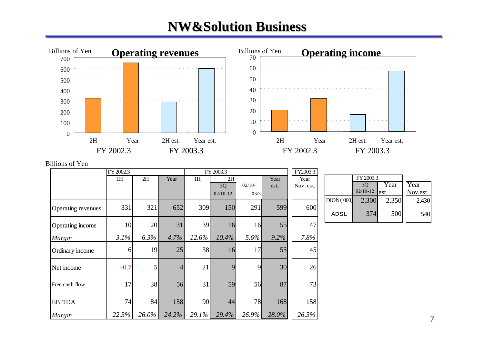## **NW&Solution Business NW&Solution Business**



#### Billions of Yen

|                    | FY 2002.3 |          |                |       | FY 2003.3  |           |       | FY2003.3  |             |            |       |         |
|--------------------|-----------|----------|----------------|-------|------------|-----------|-------|-----------|-------------|------------|-------|---------|
|                    | 1H        | 2H       | Year           | 1H    | 2H         |           | Year  | Year      |             | FY 2003.3  |       |         |
|                    |           |          |                |       | 3Q         | $02/10-$  | est.  | Nov. est. |             | 3Q         | Year  | Year    |
|                    |           |          |                |       | $02/10-12$ | 03/3      |       |           |             | $02/10-12$ | lest. | Nov.est |
|                    |           |          |                |       |            |           |       |           | DION(000)   | 2,300      | 2,350 | 2,430   |
| Operating revenues | 331       | 321      | 652            | 309   | 150        | 291       | 599   | 600       | <b>ADSL</b> | 374        | 500   | 540     |
| Operating income   | 10        | 20       | 31             | 39    | 16         | <b>16</b> | 55    | 47        |             |            |       |         |
| Margin             | 3.1%      | 6.3%     | 4.7%           | 12.6% | 10.4%      | 5.6%      | 9.2%  | 7.8%      |             |            |       |         |
| Ordinary income    | 6         | 19       | 25             | 38    | 16         | 17        | 55    | 45        |             |            |       |         |
| Net income         | $-0.7$    | 5        | $\overline{4}$ | 21    | 9          | 9         | 30    | 26        |             |            |       |         |
| Free cash flow     | 17        | 38       | 56             | 31    | 59         | 56        | 87    | 73        |             |            |       |         |
| <b>EBITDA</b>      | 74        | 84       | 158            | 90    | 44         | 78        | 168   | 158       |             |            |       |         |
| Margin             | 22.3%     | $26.0\%$ | 24.2%          | 29.1% | 29.4%      | 26.9%     | 28.0% | 26.3%     |             |            |       |         |

7

 $2,430$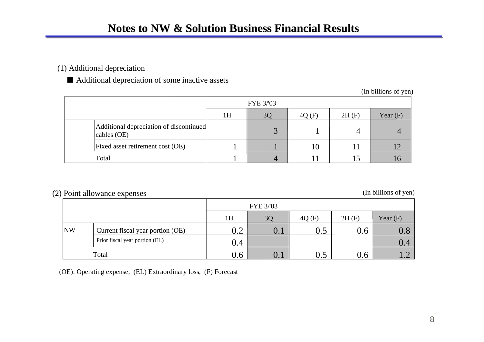### (1) Additional depreciation

■ Additional depreciation of some inactive assets

(In billions of yen)

|                                                        | FYE 3/03 |                |       |       |            |  |  |  |  |
|--------------------------------------------------------|----------|----------------|-------|-------|------------|--|--|--|--|
|                                                        | 1H       | 3 <sub>C</sub> | 4Q(F) | 2H(F) | Year $(F)$ |  |  |  |  |
| Additional depreciation of discontinued<br>cables (OE) |          | $\bigcap$      |       |       |            |  |  |  |  |
| Fixed asset retirement cost (OE)                       |          |                | 10    |       |            |  |  |  |  |
| Total                                                  |          |                |       |       |            |  |  |  |  |

### (2) Point allowance expenses (In billions of yen)

|           |                                  | FYE 3/03         |                |         |       |                                                   |  |  |  |  |
|-----------|----------------------------------|------------------|----------------|---------|-------|---------------------------------------------------|--|--|--|--|
|           |                                  | 1H               | 3 <sub>O</sub> | 4Q(F)   | 2H(F) | Year $(F)$                                        |  |  |  |  |
| <b>NW</b> | Current fiscal year portion (OE) | $\bigcap$<br>∪.∠ | U. l           | $0.5\,$ | 0.6   | $\mathbf{U}$ .c                                   |  |  |  |  |
|           | Prior fiscal year portion (EL)   | 0.4              |                |         |       | 0.4                                               |  |  |  |  |
|           | Total                            | 0.6              | U.I            |         | J.6   | $\overline{\mathbf{1}}$ . $\overline{\mathbf{1}}$ |  |  |  |  |

(OE): Operating expense, (EL) Extraordinary loss, (F) Forecast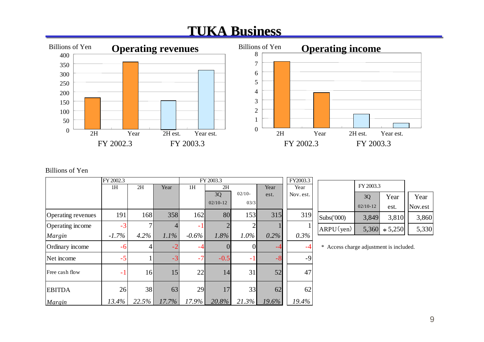## **TUKA Business Business**



#### Billions of Yen

|                    | FY 2002.3 |                  |         |          | FY 2003.3  |          |         | FY2003.3  |
|--------------------|-----------|------------------|---------|----------|------------|----------|---------|-----------|
|                    | 1H        | 2H               | Year    | 1H       | 2H         |          | Year    | Year      |
|                    |           |                  |         |          | 3Q         | $02/10-$ | est.    | Nov. est. |
|                    |           |                  |         |          | $02/10-12$ | 03/3     |         |           |
| Operating revenues | 191       | 168              | 358     | 162      | 80         | 153      | 315     | 319       |
| Operating income   | $-3$      |                  |         | -1       |            |          |         | 1         |
| Margin             | $-1.7\%$  | 4.2%             | $1.1\%$ | $-0.6\%$ | 1.8%       | $1.0\%$  | $0.2\%$ | 0.3%      |
| Ordinary income    | $-6$      | $\left 4\right $ |         | -4       |            |          | -4      | $-4$      |
| Net income         | $-5$      |                  | $-3$    | $-7$     | $-0.5$     | $-1$     | $-8$    | $-9$      |
| Free cash flow     | $-1$      | 16               | 15      | 22       | 14         | 31       | 52      | 47        |
| <b>EBITDA</b>      | 26        | 38               | 63      | 29       | 17         | 33       | 62      | 62        |
| Margin             | 13.4%     | 22.5%            | 17.7%   | 17.9%    | 20.8%      | 21.3%    | 19.6%   | 19.4%     |

| 3.3      |            |            |           |         |
|----------|------------|------------|-----------|---------|
|          |            | FY 2003.3  |           |         |
| st.      |            | 3Q         | Year      | Year    |
|          |            | $02/10-12$ | est.      | Nov.est |
| 19       | Subs('000) | 3,849      | 3,810     | 3,860   |
| $\alpha$ | ARPU(yen)  | 5,360      | $* 5,250$ | 5,330   |

\* Access charge adjustment is included.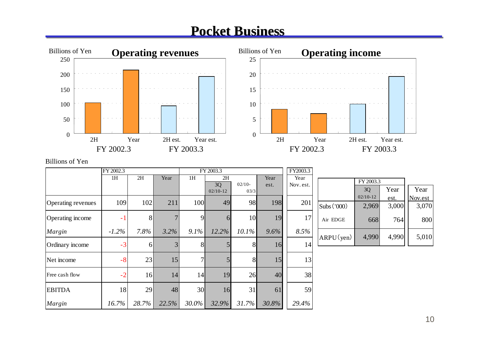## **Pocket Business Pocket Business**



#### Billions of Yen

|                    | FY 2002.3 |              |       | FY 2003.3       |                  | FY2003.3       |       |           |             |            |       |         |
|--------------------|-----------|--------------|-------|-----------------|------------------|----------------|-------|-----------|-------------|------------|-------|---------|
|                    | 1H        | 2H           | Year  | 1H              | 2H               | $02/10-$       | Year  | Year      |             | FY 2003.3  |       |         |
|                    |           |              |       |                 | 3Q<br>$02/10-12$ | 03/3           | est.  | Nov. est. |             | 3Q         | Year  | Year    |
| Operating revenues | 109       | 102          | 211   | 100             | 49               | 98             | 198   | 201       |             | $02/10-12$ | est.  | Nov.est |
|                    |           |              |       |                 |                  |                |       |           | Subs ('000) | 2,969      | 3,000 | 3,070   |
| Operating income   | $-1$      | 8            |       | 9               |                  | 10             | 19    | 17        | Air EDGE    | 668        | 764   | 800     |
| Margin             | $-1.2\%$  | $7.8\%$      | 3.2%  | 9.1%            | 12.2%            | $10.1\%$       | 9.6%  | 8.5%      | ARPU(yen)   | 4,990      | 4,990 | 5,010   |
| Ordinary income    | $-3$      | <sup>6</sup> |       | 8               |                  | 8 <sup>l</sup> | 16    | 14        |             |            |       |         |
| Net income         | $-8$      | 23           | 15    | $\tau$          |                  | 8 <sup>l</sup> | 15    | 13        |             |            |       |         |
| Free cash flow     | $-2$      | 16           | 14    | 14              | 19               | 26             | 40    | 38        |             |            |       |         |
| <b>EBITDA</b>      | 18        | 29           | 48    | 30 <sup>l</sup> | 16               | 31             | 61    | 59        |             |            |       |         |
| Margin             | 16.7%     | 28.7%        | 22.5% | 30.0%           | 32.9%            | 31.7%          | 30.8% | 29.4%     |             |            |       |         |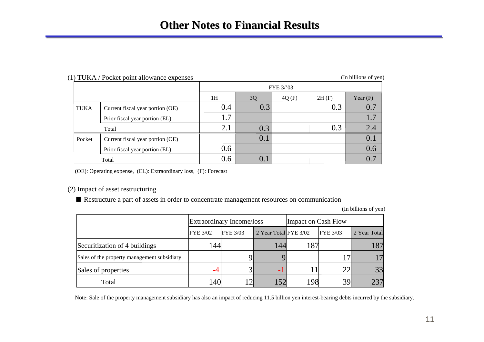## **Other Notes to Financial Results Other Notes to Financial Results**

#### (1) TUKA / Pocket point allowance expenses (In billions of yen)

|             |                                  |     |     | FYE 3/'03 |       |            |
|-------------|----------------------------------|-----|-----|-----------|-------|------------|
|             |                                  | 1H  | 3Q  | 4Q(F)     | 2H(F) | Year $(F)$ |
| <b>TUKA</b> | Current fiscal year portion (OE) | 0.4 | 0.3 |           | 0.3   | 0.7        |
|             | Prior fiscal year portion (EL)   | 1.7 |     |           |       | 1.7        |
|             | Total                            | 2.1 | 0.3 |           | 0.3   | 2.4        |
| Pocket      | Current fiscal year portion (OE) |     | 0.1 |           |       | 0.1        |
|             | Prior fiscal year portion (EL)   | 0.6 |     |           |       | 0.6        |
|             | Total                            | 0.6 | 0.1 |           |       | 0.7        |

(OE): Operating expense, (EL): Extraordinary loss, (F): Forecast

#### (2) Impact of asset restructuring

■ Restructure a part of assets in order to concentrate management resources on communication

(In billions of yen)

|                                             | <b>Extraordinary Income/loss</b> |                 |                       | Impact on Cash Flow |                 |              |  |
|---------------------------------------------|----------------------------------|-----------------|-----------------------|---------------------|-----------------|--------------|--|
|                                             | <b>FYE 3/02</b>                  | <b>FYE 3/03</b> | 2 Year Total FYE 3/02 |                     | <b>FYE 3/03</b> | 2 Year Total |  |
| Securitization of 4 buildings               | l 44                             |                 | 144                   |                     |                 |              |  |
| Sales of the property management subsidiary |                                  |                 |                       |                     |                 |              |  |
| Sales of properties                         | -4                               | $3^{\circ}$     |                       |                     | 22              | 33           |  |
| Total                                       | 140                              | 12              | .52                   | 198                 | 39              |              |  |

Note: Sale of the property management subsidiary has also an impact of reducing 11.5 billion yen interest-bearing debts incurred by the subsidiary.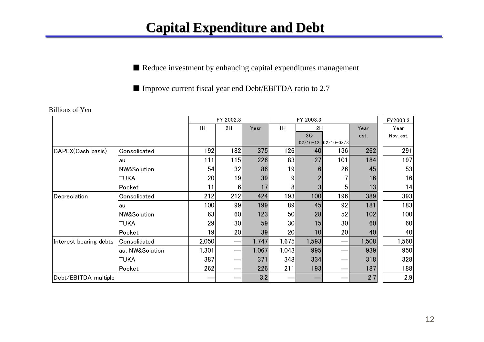## **Capital Expenditure and Debt Capital Expenditure and Debt**

■ Reduce investment by enhancing capital expenditures management

■ Improve current fiscal year end Debt/EBITDA ratio to 2.7

|                        |                        | FY 2002.3 |                 | FY 2003.3 |       |       |                       | FY2003.3 |           |
|------------------------|------------------------|-----------|-----------------|-----------|-------|-------|-----------------------|----------|-----------|
|                        |                        | 1H        | 2H              | Yesr      | 1H    | 2H    |                       | Year     | Year      |
|                        |                        |           |                 |           |       | 3Q    |                       | est.     | Nov. est. |
|                        |                        |           |                 |           |       |       | $02/10-12$ 02/10-03/3 |          |           |
| CAPEX(Cash basis)      | Consolidated           | 192       | 182             | 375       | 126   | 40    | 1361                  | 262      | 291       |
|                        | au                     | 111       | 115             | 226       | 83    | 27    | 101                   | 184      | 197       |
|                        | <b>NW&amp;Solution</b> | 54        | 32              | 86        | 19    |       | 26                    | 45       | 53        |
|                        | <b>TUKA</b>            | 20        | 19              | 39        | 9     |       |                       | 16       | 16        |
|                        | Pocket                 | 11        | 61              | 17        | 81    |       | 5                     | 13       | 14        |
| Depreciation           | Consolidated           | 212       | 212             | 424       | 193   | 100   | 196                   | 389      | 393       |
|                        | au                     | 100       | 99              | 199       | 89    | 45    | 92                    | 181      | 183       |
|                        | <b>NW&amp;Solution</b> | 63        | 60              | 123       | 50    | 28    | 52                    | 102      | 100       |
|                        | <b>TUKA</b>            | 29        | 30 <sup>1</sup> | 59        | 30    | 15    | 30                    | 60       | 60        |
|                        | Pocket                 | 19        | 20              | 39        | 20    | 10    | 20 <sup>1</sup>       | 40       | 40        |
| Interest bearing debts | Consolidated           | 2,050     |                 | 1,747     | 1,675 | 1,593 |                       | 1,508    | 1,560     |
|                        | au, NW&Solution        | 1,301     |                 | 1,067     | 1,043 | 995   |                       | 939      | 950       |
|                        | TUKA                   | 387       |                 | 371       | 348   | 334   |                       | 318      | 328       |
|                        | Pocket                 | 262       |                 | 226       | 211   | 193   |                       | 187      | 188       |
| Debt/EBITDA multiple   |                        |           |                 | 3.2       |       |       |                       | 2.7      | 2.9       |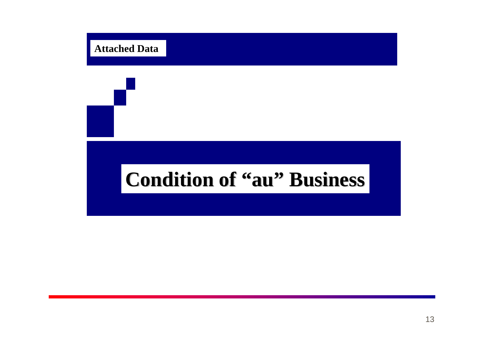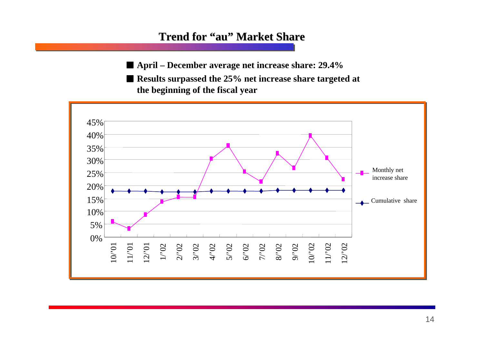## **Trend for Trend for "au" Market Share Market Share**

■ April – December average net increase share: 29.4<sup>%</sup>

■ **Results surpassed the 25% net increase share targeted at the beginning of the fiscal year**

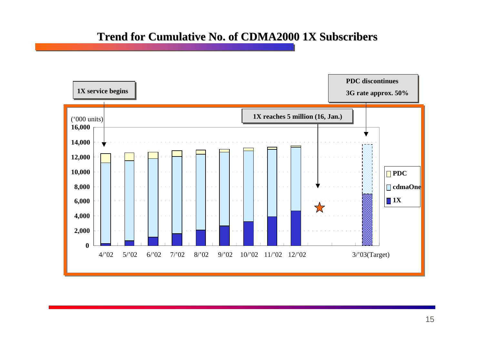## **Trend for Cumulative No. of CDMA2000 1X Subscribers Trend for Cumulative No. of CDMA2000 1X Subscribers**

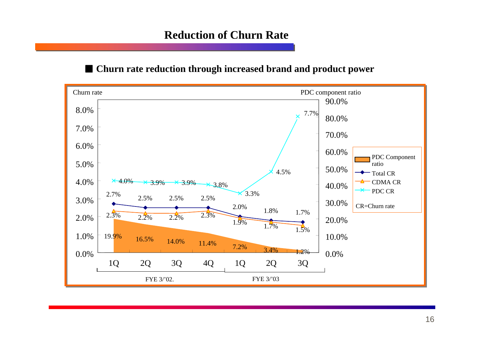## **Reduction of Churn Rate**

## ■ Churn rate reduction through increased brand and product power

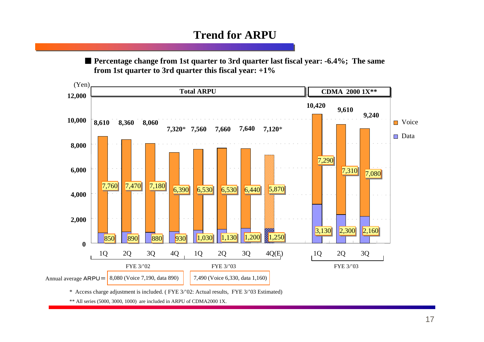## **Trend for ARPU**

■ Percentage change from 1st quarter to 3rd quarter last fiscal year: -6.4%; The same  **from 1st quarter to 3rd quarter this fiscal year: +1%**



\* Access charge adjustment is included. ( FYE 3/'02: Actual results, FYE 3/'03 Estimated)

\*\* All series (5000, 3000, 1000) are included in ARPU of CDMA2000 1X.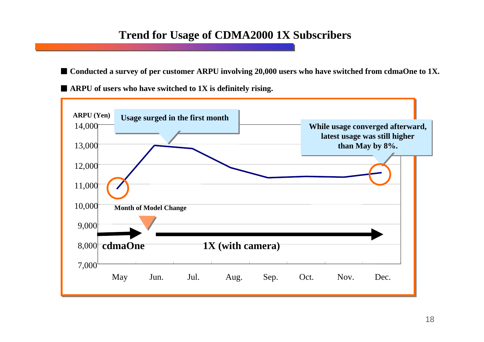## **Trend for Usage of CDMA2000 1X Subscribers**

■ Conducted a survey of per customer ARPU involving 20,000 users who have switched from cdmaOne to 1X.

■ **ARPU of users who have switched to 1X is definitely rising.**

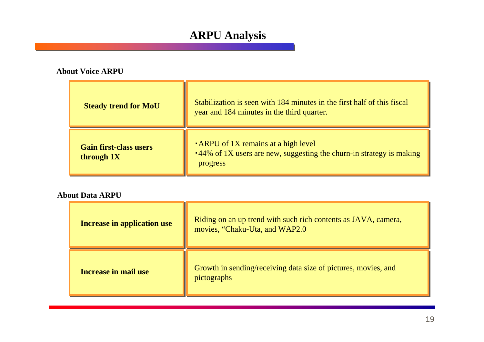## **ARPU Analysis**

#### **About Voice ARPU**

| <b>Steady trend for MoU</b>                 | Stabilization is seen with 184 minutes in the first half of this fiscal<br>year and 184 minutes in the third quarter.           |
|---------------------------------------------|---------------------------------------------------------------------------------------------------------------------------------|
| <b>Gain first-class users</b><br>through 1X | <b>.</b> ARPU of 1X remains at a high level<br>.44% of 1X users are new, suggesting the churn-in strategy is making<br>progress |

#### **About Data ARPU**

| <b>Increase in application use</b> | Riding on an up trend with such rich contents as JAVA, camera,<br>movies, "Chaku-Uta, and WAP2.0 |
|------------------------------------|--------------------------------------------------------------------------------------------------|
| <b>Increase in mail use</b>        | Growth in sending/receiving data size of pictures, movies, and<br>pictographs                    |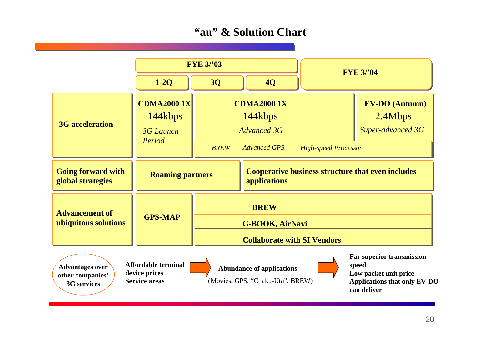## **"au" & Solution Chart**